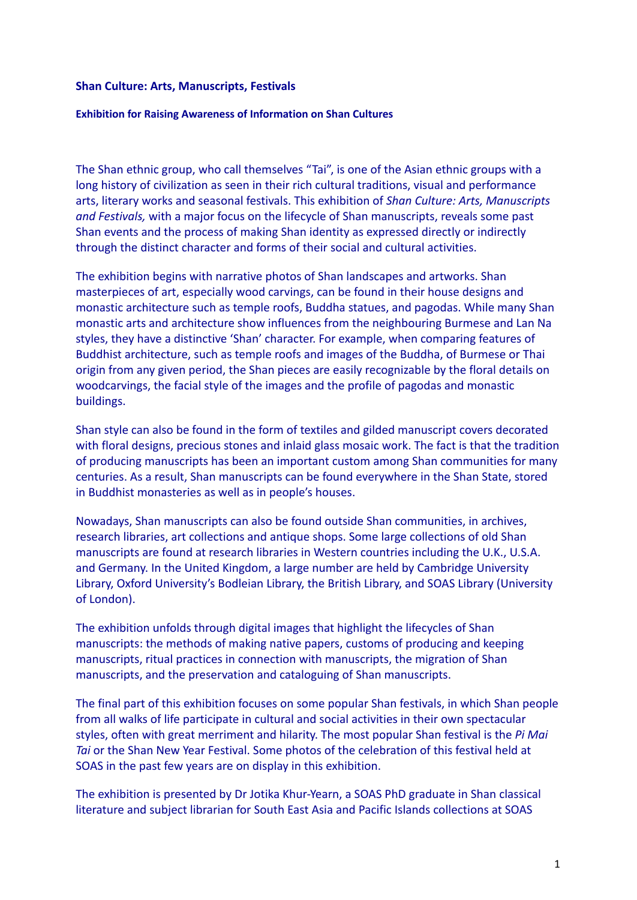## **Shan Culture: Arts, Manuscripts, Festivals**

## **Exhibition for Raising Awareness of Information on Shan Cultures**

The Shan ethnic group, who call themselves "Tai", is one of the Asian ethnic groups with a long history of civilization as seen in their rich cultural traditions, visual and performance arts, literary works and seasonal festivals. This exhibition of *Shan Culture: Arts, Manuscripts and Festivals,* with a major focus on the lifecycle of Shan manuscripts, reveals some past Shan events and the process of making Shan identity as expressed directly or indirectly through the distinct character and forms of their social and cultural activities.

The exhibition begins with narrative photos of Shan landscapes and artworks. Shan masterpieces of art, especially wood carvings, can be found in their house designs and monastic architecture such as temple roofs, Buddha statues, and pagodas. While many Shan monastic arts and architecture show influences from the neighbouring Burmese and Lan Na styles, they have a distinctive 'Shan' character. For example, when comparing features of Buddhist architecture, such as temple roofs and images of the Buddha, of Burmese or Thai origin from any given period, the Shan pieces are easily recognizable by the floral details on woodcarvings, the facial style of the images and the profile of pagodas and monastic buildings.

Shan style can also be found in the form of textiles and gilded manuscript covers decorated with floral designs, precious stones and inlaid glass mosaic work. The fact is that the tradition of producing manuscripts has been an important custom among Shan communities for many centuries. As a result, Shan manuscripts can be found everywhere in the Shan State, stored in Buddhist monasteries as well as in people's houses.

Nowadays, Shan manuscripts can also be found outside Shan communities, in archives, research libraries, art collections and antique shops. Some large collections of old Shan manuscripts are found at research libraries in Western countries including the U.K., U.S.A. and Germany. In the United Kingdom, a large number are held by Cambridge University Library, Oxford University's Bodleian Library, the British Library, and SOAS Library (University of London).

The exhibition unfolds through digital images that highlight the lifecycles of Shan manuscripts: the methods of making native papers, customs of producing and keeping manuscripts, ritual practices in connection with manuscripts, the migration of Shan manuscripts, and the preservation and cataloguing of Shan manuscripts.

The final part of this exhibition focuses on some popular Shan festivals, in which Shan people from all walks of life participate in cultural and social activities in their own spectacular styles, often with great merriment and hilarity. The most popular Shan festival is the *Pi Mai Tai* or the Shan New Year Festival. Some photos of the celebration of this festival held at SOAS in the past few years are on display in this exhibition.

The exhibition is presented by Dr Jotika Khur-Yearn, a SOAS PhD graduate in Shan classical literature and subject librarian for South East Asia and Pacific Islands collections at SOAS